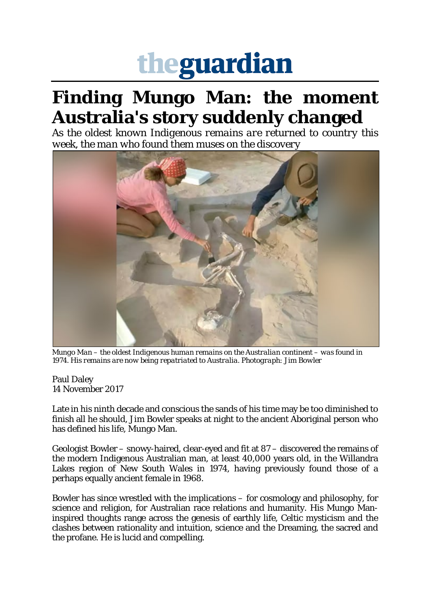## theguardian

## **Finding Mungo Man: the moment Australia's story suddenly changed**

*As the oldest known Indigenous remains are returned to country this week, the man who found them muses on the discovery*



*Mungo Man – the oldest Indigenous human remains on the Australian continent – was found in 1974. His remains are now being repatriated to Australia. Photograph: Jim Bowler*

Paul Daley 14 November 2017

Late in his ninth decade and conscious the sands of his time may be too diminished to finish all he should, Jim Bowler speaks at night to the ancient Aboriginal person who has defined his life, Mungo Man.

Geologist Bowler – snowy-haired, clear-eyed and fit at 87 – discovered the remains of the modern Indigenous Australian man, at least 40,000 years old, in the Willandra Lakes region of New South Wales in 1974, having previously found those of a perhaps equally ancient female in 1968.

Bowler has since wrestled with the implications – for cosmology and philosophy, for science and religion, for Australian race relations and humanity. His Mungo Maninspired thoughts range across the genesis of earthly life, Celtic mysticism and the clashes between rationality and intuition, science and the Dreaming, the sacred and the profane. He is lucid and compelling.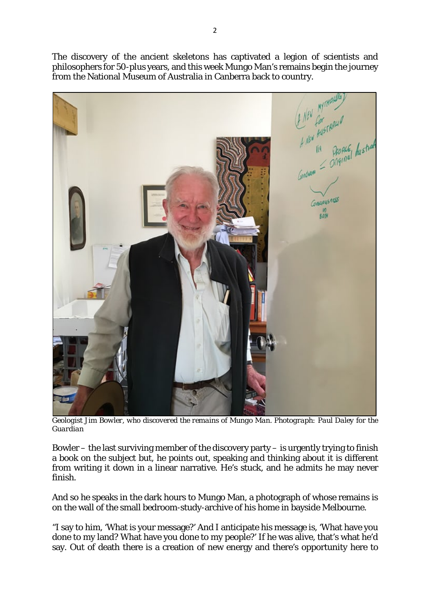The discovery of the ancient skeletons has captivated a legion of scientists and philosophers for 50-plus years, and this week Mungo Man's remains begin the journey from the National Museum of Australia in Canberra back to country.



*Geologist Jim Bowler, who discovered the remains of Mungo Man. Photograph: Paul Daley for the Guardian*

Bowler – the last surviving member of the discovery party – is urgently trying to finish a book on the subject but, he points out, speaking and thinking about it is different from writing it down in a linear narrative. He's stuck, and he admits he may never finish.

And so he speaks in the dark hours to Mungo Man, a photograph of whose remains is on the wall of the small bedroom-study-archive of his home in bayside Melbourne.

"I say to him, 'What is your message?' And I anticipate his message is, 'What have you done to my land? What have you done to my people?' If he was alive, that's what he'd say. Out of death there is a creation of new energy and there's opportunity here to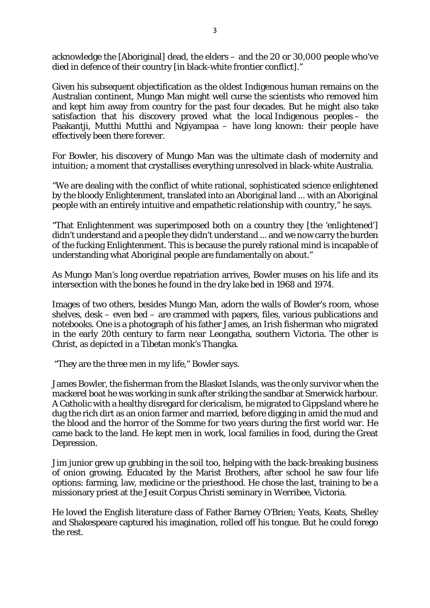acknowledge the [Aboriginal] dead, the elders – and the 20 or 30,000 people who've died in defence of their country [in black-white frontier conflict]."

Given his subsequent objectification as the oldest Indigenous human remains on the Australian continent, Mungo Man might well curse the scientists who removed him and kept him away from country for the past four decades. But he might also take satisfaction that his discovery proved what the local Indigenous peoples – the Paakantji, Mutthi Mutthi and Ngiyampaa – have long known: their people have effectively been there forever.

For Bowler, his discovery of Mungo Man was the ultimate clash of modernity and intuition; a moment that crystallises everything unresolved in black-white Australia.

"We are dealing with the conflict of white rational, sophisticated science enlightened by the bloody Enlightenment, translated into an Aboriginal land ... with an Aboriginal people with an entirely intuitive and empathetic relationship with country," he says.

"That Enlightenment was superimposed both on a country they [the 'enlightened'] didn't understand and a people they didn't understand ... and we now carry the burden of the fucking Enlightenment. This is because the purely rational mind is incapable of understanding what Aboriginal people are fundamentally on about."

As Mungo Man's long overdue repatriation arrives, Bowler muses on his life and its intersection with the bones he found in the dry lake bed in 1968 and 1974.

Images of two others, besides Mungo Man, adorn the walls of Bowler's room, whose shelves, desk – even bed – are crammed with papers, files, various publications and notebooks. One is a photograph of his father James, an Irish fisherman who migrated in the early 20th century to farm near Leongatha, southern Victoria. The other is Christ, as depicted in a Tibetan monk's Thangka.

"They are the three men in my life," Bowler says.

James Bowler, the fisherman from the Blasket Islands, was the only survivor when the mackerel boat he was working in sunk after striking the sandbar at Smerwick harbour. A Catholic with a healthy disregard for clericalism, he migrated to Gippsland where he dug the rich dirt as an onion farmer and married, before digging in amid the mud and the blood and the horror of the Somme for two years during the first world war. He came back to the land. He kept men in work, local families in food, during the Great Depression.

Jim junior grew up grubbing in the soil too, helping with the back-breaking business of onion growing. Educated by the Marist Brothers, after school he saw four life options: farming, law, medicine or the priesthood. He chose the last, training to be a missionary priest at the Jesuit Corpus Christi seminary in Werribee, Victoria.

He loved the English literature class of Father Barney O'Brien; Yeats, Keats, Shelley and Shakespeare captured his imagination, rolled off his tongue. But he could forego the rest.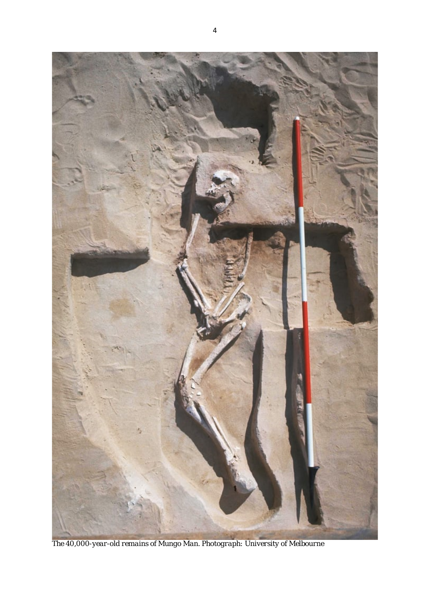

*The 40,000-year-old remains of Mungo Man. Photograph: University of Melbourne*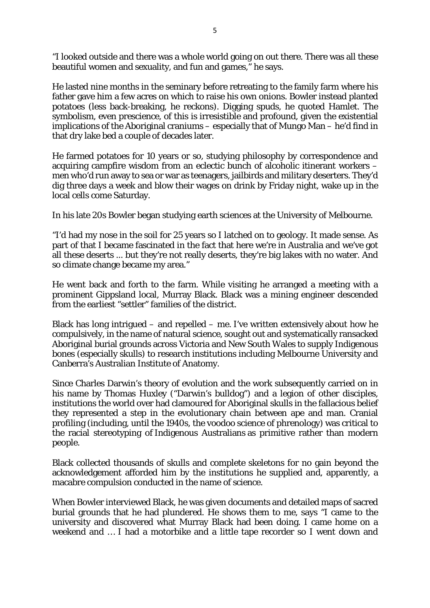"I looked outside and there was a whole world going on out there. There was all these beautiful women and sexuality, and fun and games," he says.

He lasted nine months in the seminary before retreating to the family farm where his father gave him a few acres on which to raise his own onions. Bowler instead planted potatoes (less back-breaking, he reckons). Digging spuds, he quoted Hamlet. The symbolism, even prescience, of this is irresistible and profound, given the existential implications of the Aboriginal craniums – especially that of Mungo Man – he'd find in that dry lake bed a couple of decades later.

He farmed potatoes for 10 years or so, studying philosophy by correspondence and acquiring campfire wisdom from an eclectic bunch of alcoholic itinerant workers – men who'd run away to sea or war as teenagers, jailbirds and military deserters. They'd dig three days a week and blow their wages on drink by Friday night, wake up in the local cells come Saturday.

In his late 20s Bowler began studying earth sciences at the University of Melbourne.

"I'd had my nose in the soil for 25 years so I latched on to geology. It made sense. As part of that I became fascinated in the fact that here we're in Australia and we've got all these deserts ... but they're not really deserts, they're big lakes with no water. And so climate change became my area."

He went back and forth to the farm. While visiting he arranged a meeting with a prominent Gippsland local, Murray Black. Black was a mining engineer descended from the earliest "settler" families of the district.

Black has long intrigued – and repelled – me. I've written extensively about how he compulsively, in the name of natural science, sought out and systematically ransacked Aboriginal burial grounds across Victoria and New South Wales to supply Indigenous bones (especially skulls) to research institutions including Melbourne University and Canberra's Australian Institute of Anatomy.

Since Charles Darwin's theory of evolution and the work subsequently carried on in his name by Thomas Huxley ("Darwin's bulldog") and a legion of other disciples, institutions the world over had clamoured for Aboriginal skulls in the fallacious belief they represented a step in the evolutionary chain between ape and man. Cranial profiling (including, until the 1940s, the voodoo science of phrenology) was critical to the racial stereotyping of Indigenous Australians as primitive rather than modern people.

Black collected thousands of skulls and complete skeletons for no gain beyond the acknowledgement afforded him by the institutions he supplied and, apparently, a macabre compulsion conducted in the name of science.

When Bowler interviewed Black, he was given documents and detailed maps of sacred burial grounds that he had plundered. He shows them to me, says "I came to the university and discovered what Murray Black had been doing. I came home on a weekend and … I had a motorbike and a little tape recorder so I went down and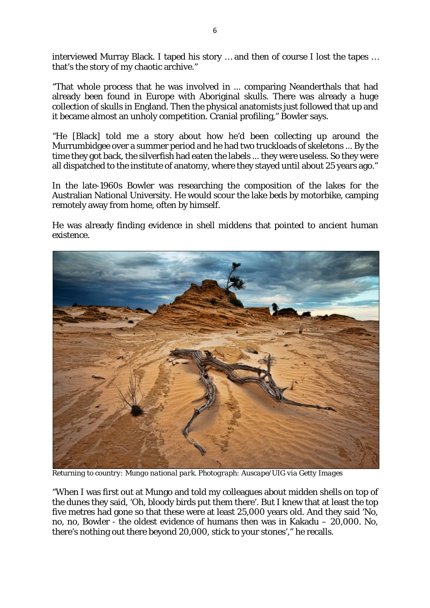interviewed Murray Black. I taped his story … and then of course I lost the tapes … that's the story of my chaotic archive."

"That whole process that he was involved in ... comparing Neanderthals that had already been found in Europe with Aboriginal skulls. There was already a huge collection of skulls in England. Then the physical anatomists just followed that up and it became almost an unholy competition. Cranial profiling," Bowler says.

"He [Black] told me a story about how he'd been collecting up around the Murrumbidgee over a summer period and he had two truckloads of skeletons ... By the time they got back, the silverfish had eaten the labels ... they were useless. So they were all dispatched to the institute of anatomy, where they stayed until about 25 years ago."

In the late-1960s Bowler was researching the composition of the lakes for the Australian National University. He would scour the lake beds by motorbike, camping remotely away from home, often by himself.

He was already finding evidence in shell middens that pointed to ancient human existence.



*Returning to country: Mungo national park. Photograph: Auscape/UIG via Getty Images*

"When I was first out at Mungo and told my colleagues about midden shells on top of the dunes they said, 'Oh, bloody birds put them there'. But I knew that at least the top five metres had gone so that these were at least 25,000 years old. And they said 'No, no, no, Bowler - the oldest evidence of humans then was in Kakadu  $-20,000$ . No, there's nothing out there beyond 20,000, stick to your stones'," he recalls.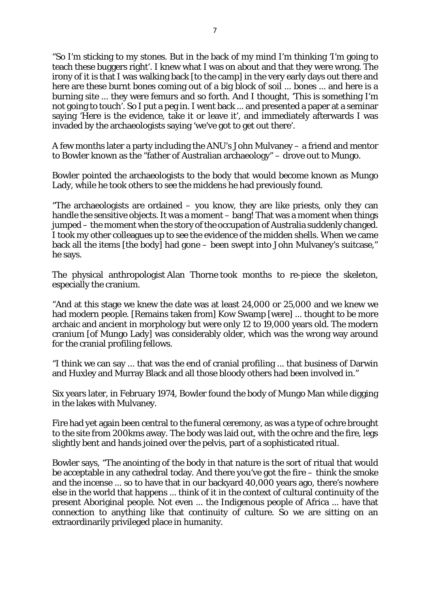"So I'm sticking to my stones. But in the back of my mind I'm thinking 'I'm going to teach these buggers right'. I knew what I was on about and that they were wrong. The irony of it is that I was walking back [to the camp] in the very early days out there and here are these burnt bones coming out of a big block of soil ... bones ... and here is a burning site ... they were femurs and so forth. And I thought, 'This is something I'm not going to touch'. So I put a peg in. I went back ... and presented a paper at a seminar saying 'Here is the evidence, take it or leave it', and immediately afterwards I was invaded by the archaeologists saying 'we've got to get out there'.

A few months later a party including the ANU's John Mulvaney – a friend and mentor to Bowler known as the "father of Australian archaeology" – drove out to Mungo.

Bowler pointed the archaeologists to the body that would become known as Mungo Lady, while he took others to see the middens he had previously found.

"The archaeologists are ordained – you know, they are like priests, only they can handle the sensitive objects. It was a moment – bang! That was a moment when things jumped – the moment when the story of the occupation of Australia suddenly changed. I took my other colleagues up to see the evidence of the midden shells. When we came back all the items [the body] had gone – been swept into John Mulvaney's suitcase," he says.

The physical anthropologist Alan Thorne took months to re-piece the skeleton, especially the cranium.

"And at this stage we knew the date was at least 24,000 or 25,000 and we knew we had modern people. [Remains taken from] Kow Swamp [were] ... thought to be more archaic and ancient in morphology but were only 12 to 19,000 years old. The modern cranium [of Mungo Lady] was considerably older, which was the wrong way around for the cranial profiling fellows.

"I think we can say ... that was the end of cranial profiling ... that business of Darwin and Huxley and Murray Black and all those bloody others had been involved in."

Six years later, in February 1974, Bowler found the body of Mungo Man while digging in the lakes with Mulvaney.

Fire had yet again been central to the funeral ceremony, as was a type of ochre brought to the site from 200kms away. The body was laid out, with the ochre and the fire, legs slightly bent and hands joined over the pelvis, part of a sophisticated ritual.

Bowler says, "The anointing of the body in that nature is the sort of ritual that would be acceptable in any cathedral today. And there you've got the fire – think the smoke and the incense ... so to have that in our backyard 40,000 years ago, there's nowhere else in the world that happens ... think of it in the context of cultural continuity of the present Aboriginal people. Not even ... the Indigenous people of Africa ... have that connection to anything like that continuity of culture. So we are sitting on an extraordinarily privileged place in humanity.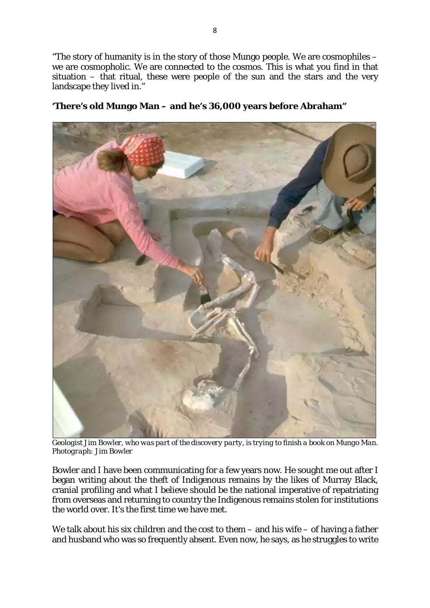"The story of humanity is in the story of those Mungo people. We are cosmophiles – we are cosmopholic. We are connected to the cosmos. This is what you find in that situation – that ritual, these were people of the sun and the stars and the very landscape they lived in."



## **'There's old Mungo Man – and he's 36,000 years before Abraham"**

*Geologist Jim Bowler, who was part of the discovery party, is trying to finish a book on Mungo Man. Photograph: Jim Bowler*

Bowler and I have been communicating for a few years now. He sought me out after I began writing about the theft of Indigenous remains by the likes of Murray Black, cranial profiling and what I believe should be the national imperative of repatriating from overseas and returning to country the Indigenous remains stolen for institutions the world over. It's the first time we have met.

We talk about his six children and the cost to them – and his wife – of having a father and husband who was so frequently absent. Even now, he says, as he struggles to write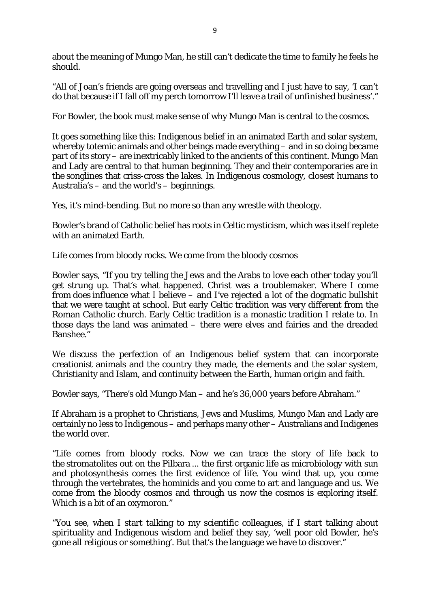about the meaning of Mungo Man, he still can't dedicate the time to family he feels he should.

"All of Joan's friends are going overseas and travelling and I just have to say, 'I can't do that because if I fall off my perch tomorrow I'll leave a trail of unfinished business'."

For Bowler, the book must make sense of why Mungo Man is central to the cosmos.

It goes something like this: Indigenous belief in an animated Earth and solar system, whereby totemic animals and other beings made everything – and in so doing became part of its story – are inextricably linked to the ancients of this continent. Mungo Man and Lady are central to that human beginning. They and their contemporaries are in the songlines that criss-cross the lakes. In Indigenous cosmology, closest humans to Australia's – and the world's – beginnings.

Yes, it's mind-bending. But no more so than any wrestle with theology.

Bowler's brand of Catholic belief has roots in Celtic mysticism, which was itself replete with an animated Earth.

Life comes from bloody rocks. We come from the bloody cosmos

Bowler says, "If you try telling the Jews and the Arabs to love each other today you'll get strung up. That's what happened. Christ was a troublemaker. Where I come from *does* influence what I believe – and I've rejected a lot of the dogmatic bullshit that we were taught at school. But early Celtic tradition was very different from the Roman Catholic church. Early Celtic tradition is a monastic tradition I relate to. In those days the land was animated – there were elves and fairies and the dreaded Banshee."

We discuss the perfection of an Indigenous belief system that can incorporate creationist animals and the country they made, the elements and the solar system, Christianity and Islam, and continuity between the Earth, human origin and faith.

Bowler says, "There's old Mungo Man – and he's 36,000 years before Abraham."

If Abraham is a prophet to Christians, Jews and Muslims, Mungo Man and Lady are certainly no less to Indigenous – and perhaps many other – Australians and Indigenes the world over.

"Life comes from bloody rocks. Now we can trace the story of life back to the stromatolites out on the Pilbara ... the first organic life as microbiology with sun and photosynthesis comes the first evidence of life. You wind that up, you come through the vertebrates, the hominids and you come to art and language and us. We come from the bloody cosmos and through us now the cosmos is exploring itself. Which is a bit of an oxymoron."

"You see, when I start talking to my scientific colleagues, if I start talking about spirituality and Indigenous wisdom and belief they say, 'well poor old Bowler, he's gone all religious or something'. But that's the language we have to discover."